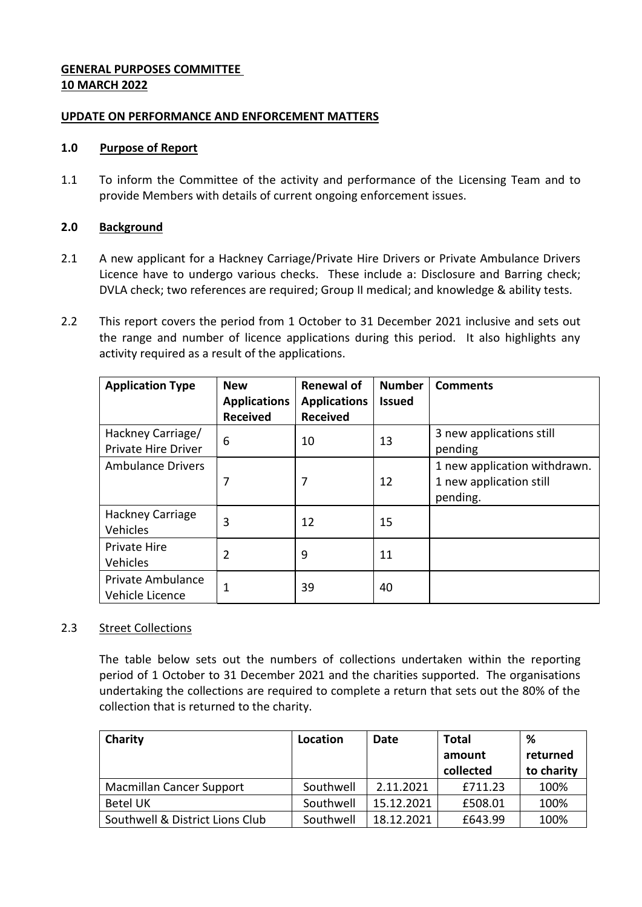# **GENERAL PURPOSES COMMITTEE 10 MARCH 2022**

### **UPDATE ON PERFORMANCE AND ENFORCEMENT MATTERS**

#### **1.0 Purpose of Report**

1.1 To inform the Committee of the activity and performance of the Licensing Team and to provide Members with details of current ongoing enforcement issues.

## **2.0 Background**

- 2.1 A new applicant for a Hackney Carriage/Private Hire Drivers or Private Ambulance Drivers Licence have to undergo various checks. These include a: Disclosure and Barring check; DVLA check; two references are required; Group II medical; and knowledge & ability tests.
- 2.2 This report covers the period from 1 October to 31 December 2021 inclusive and sets out the range and number of licence applications during this period. It also highlights any activity required as a result of the applications.

| <b>Application Type</b>                         | <b>New</b><br><b>Applications</b><br><b>Received</b> | <b>Renewal of</b><br><b>Applications</b><br><b>Received</b> | <b>Number</b><br><b>Issued</b> | <b>Comments</b>                                                     |
|-------------------------------------------------|------------------------------------------------------|-------------------------------------------------------------|--------------------------------|---------------------------------------------------------------------|
| Hackney Carriage/<br><b>Private Hire Driver</b> | 6                                                    | 10                                                          | 13                             | 3 new applications still<br>pending                                 |
| <b>Ambulance Drivers</b>                        |                                                      | 7                                                           | 12                             | 1 new application withdrawn.<br>1 new application still<br>pending. |
| <b>Hackney Carriage</b><br><b>Vehicles</b>      | 3                                                    | 12                                                          | 15                             |                                                                     |
| Private Hire<br><b>Vehicles</b>                 | 2                                                    | 9                                                           | 11                             |                                                                     |
| Private Ambulance<br>Vehicle Licence            |                                                      | 39                                                          | 40                             |                                                                     |

# 2.3 Street Collections

The table below sets out the numbers of collections undertaken within the reporting period of 1 October to 31 December 2021 and the charities supported. The organisations undertaking the collections are required to complete a return that sets out the 80% of the collection that is returned to the charity.

| Charity                         | Location  | Date       | <b>Total</b> | ℅          |
|---------------------------------|-----------|------------|--------------|------------|
|                                 |           |            | amount       | returned   |
|                                 |           |            | collected    | to charity |
| <b>Macmillan Cancer Support</b> | Southwell | 2.11.2021  | £711.23      | 100%       |
| <b>Betel UK</b>                 | Southwell | 15.12.2021 | £508.01      | 100%       |
| Southwell & District Lions Club | Southwell | 18.12.2021 | £643.99      | 100%       |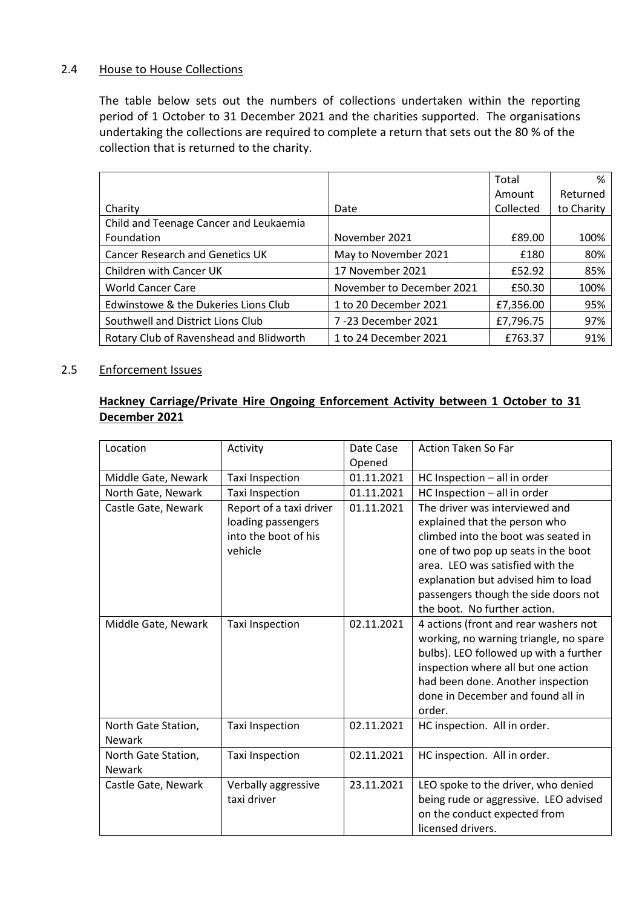### 2.4 House to House Collections

The table below sets out the numbers of collections undertaken within the reporting period of 1 October to 31 December 2021 and the charities supported. The organisations undertaking the collections are required to complete a return that sets out the 80 % of the collection that is returned to the charity.

|                                         |                           | Total     | %          |
|-----------------------------------------|---------------------------|-----------|------------|
|                                         |                           | Amount    | Returned   |
| Charity                                 | Date                      | Collected | to Charity |
| Child and Teenage Cancer and Leukaemia  |                           |           |            |
| Foundation                              | November 2021             | £89.00    | 100%       |
| <b>Cancer Research and Genetics UK</b>  | May to November 2021      | £180      | 80%        |
| Children with Cancer UK                 | 17 November 2021          | £52.92    | 85%        |
| <b>World Cancer Care</b>                | November to December 2021 | £50.30    | 100%       |
| Edwinstowe & the Dukeries Lions Club    | 1 to 20 December 2021     | £7,356.00 | 95%        |
| Southwell and District Lions Club       | 7-23 December 2021        | £7,796.75 | 97%        |
| Rotary Club of Ravenshead and Blidworth | 1 to 24 December 2021     | £763.37   | 91%        |

#### 2.5 Enforcement Issues

### **Hackney Carriage/Private Hire Ongoing Enforcement Activity between 1 October to 31 December 2021**

| Location                             | Activity                                                                         | Date Case<br>Opened | <b>Action Taken So Far</b>                                                                                                                                                                                                                                                                       |
|--------------------------------------|----------------------------------------------------------------------------------|---------------------|--------------------------------------------------------------------------------------------------------------------------------------------------------------------------------------------------------------------------------------------------------------------------------------------------|
| Middle Gate, Newark                  | Taxi Inspection                                                                  | 01.11.2021          | HC Inspection - all in order                                                                                                                                                                                                                                                                     |
| North Gate, Newark                   | Taxi Inspection                                                                  | 01.11.2021          | HC Inspection - all in order                                                                                                                                                                                                                                                                     |
| Castle Gate, Newark                  | Report of a taxi driver<br>loading passengers<br>into the boot of his<br>vehicle | 01.11.2021          | The driver was interviewed and<br>explained that the person who<br>climbed into the boot was seated in<br>one of two pop up seats in the boot<br>area. LEO was satisfied with the<br>explanation but advised him to load<br>passengers though the side doors not<br>the boot. No further action. |
| Middle Gate, Newark                  | Taxi Inspection                                                                  | 02.11.2021          | 4 actions (front and rear washers not<br>working, no warning triangle, no spare<br>bulbs). LEO followed up with a further<br>inspection where all but one action<br>had been done. Another inspection<br>done in December and found all in<br>order.                                             |
| North Gate Station,<br><b>Newark</b> | Taxi Inspection                                                                  | 02.11.2021          | HC inspection. All in order.                                                                                                                                                                                                                                                                     |
| North Gate Station,<br><b>Newark</b> | <b>Taxi Inspection</b>                                                           | 02.11.2021          | HC inspection. All in order.                                                                                                                                                                                                                                                                     |
| Castle Gate, Newark                  | Verbally aggressive<br>taxi driver                                               | 23.11.2021          | LEO spoke to the driver, who denied<br>being rude or aggressive. LEO advised<br>on the conduct expected from<br>licensed drivers.                                                                                                                                                                |